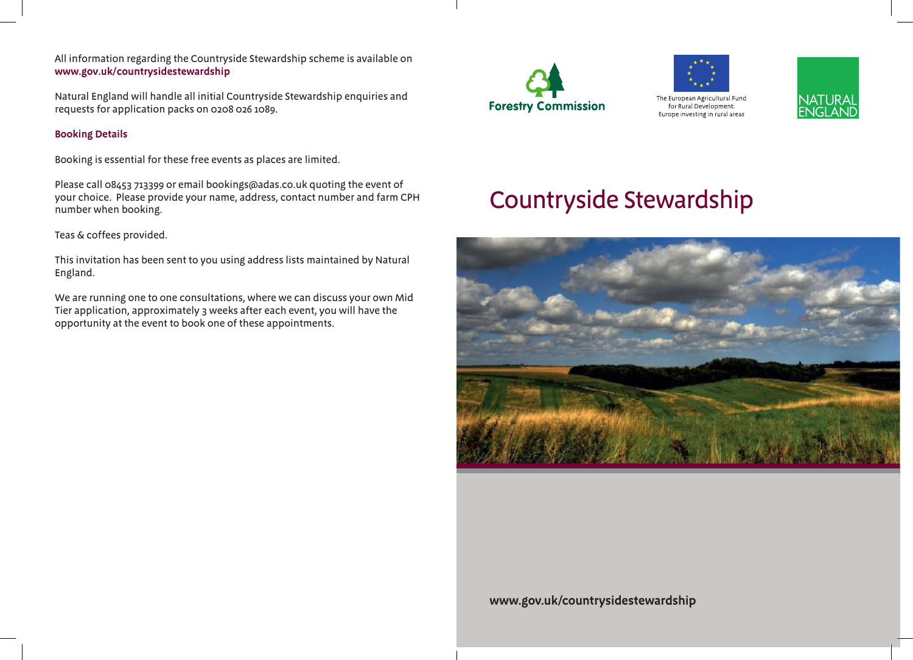All information regarding the Countryside Stewardship scheme is available on **www.gov.uk/countrysidestewardship**

Natural England will handle all initial Countryside Stewardship enquiries and requests for application packs on 0208 026 1089.

#### **Booking Details**

Booking is essential for these free events as places are limited.

Please call 08453 713399 or email bookings@adas.co.uk quoting the event of your choice. Please provide your name, address, contact number and farm CPH number when booking.

Teas & coffees provided.

This invitation has been sent to you using address lists maintained by Natural England.

We are running one to one consultations, where we can discuss your own Mid Tier application, approximately 3 weeks after each event, you will have the opportunity at the event to book one of these appointments.







# Countryside Stewardship



**www.gov.uk/countrysidestewardship**